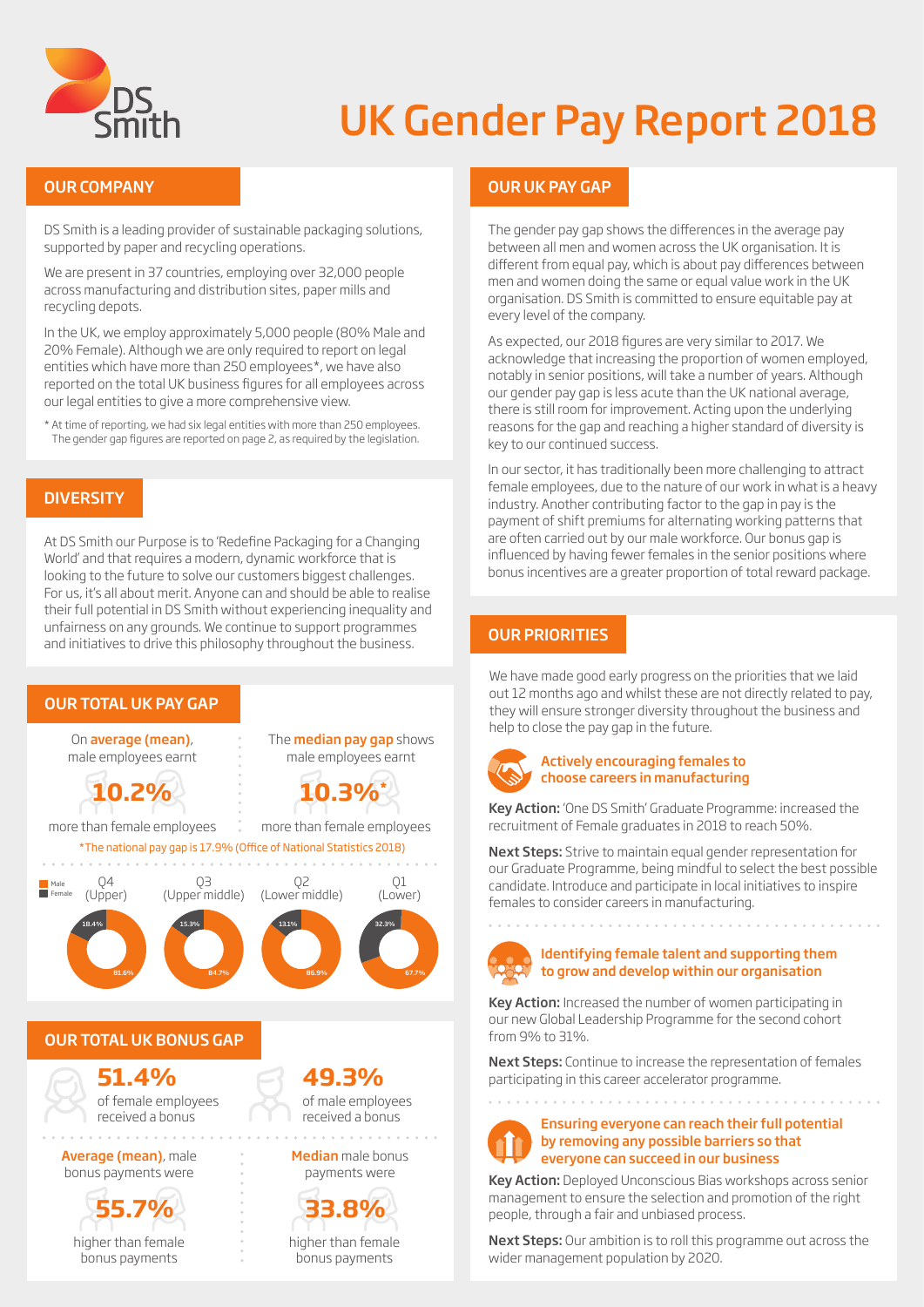

## UK Gender Pay Report 2018

#### OUR COMPANY

DS Smith is a leading provider of sustainable packaging solutions, supported by paper and recycling operations.

We are present in 37 countries, employing over 32,000 people across manufacturing and distribution sites, paper mills and recycling depots.

In the UK, we employ approximately 5,000 people (80% Male and 20% Female). Although we are only required to report on legal entities which have more than 250 employees\*, we have also reported on the total UK business figures for all employees across our legal entities to give a more comprehensive view.

\* At time of reporting, we had six legal entities with more than 250 employees. The gender gap figures are reported on page 2, as required by the legislation.

#### **DIVERSITY**

At DS Smith our Purpose is to 'Redefine Packaging for a Changing World' and that requires a modern, dynamic workforce that is looking to the future to solve our customers biggest challenges. For us, it's all about merit. Anyone can and should be able to realise their full potential in DS Smith without experiencing inequality and unfairness on any grounds. We continue to support programmes and initiatives to drive this philosophy throughout the business.



higher than female bonus payments

higher than female bonus payments

## OUR UK PAY GAP

The gender pay gap shows the differences in the average pay between all men and women across the UK organisation. It is different from equal pay, which is about pay differences between men and women doing the same or equal value work in the UK organisation. DS Smith is committed to ensure equitable pay at every level of the company.

As expected, our 2018 figures are very similar to 2017. We acknowledge that increasing the proportion of women employed, notably in senior positions, will take a number of years. Although our gender pay gap is less acute than the UK national average, there is still room for improvement. Acting upon the underlying reasons for the gap and reaching a higher standard of diversity is key to our continued success.

In our sector, it has traditionally been more challenging to attract female employees, due to the nature of our work in what is a heavy industry. Another contributing factor to the gap in pay is the payment of shift premiums for alternating working patterns that are often carried out by our male workforce. Our bonus gap is influenced by having fewer females in the senior positions where bonus incentives are a greater proportion of total reward package.

### OUR PRIORITIES

We have made good early progress on the priorities that we laid out 12 months ago and whilst these are not directly related to pay, they will ensure stronger diversity throughout the business and help to close the pay gap in the future.



#### Actively encouraging females to choose careers in manufacturing

Key Action: 'One DS Smith' Graduate Programme: increased the recruitment of Female graduates in 2018 to reach 50%.

Next Steps: Strive to maintain equal gender representation for our Graduate Programme, being mindful to select the best possible candidate. Introduce and participate in local initiatives to inspire females to consider careers in manufacturing.



#### Identifying female talent and supporting them to grow and develop within our organisation

Key Action: Increased the number of women participating in our new Global Leadership Programme for the second cohort from 9% to 31%.

Next Steps: Continue to increase the representation of females participating in this career accelerator programme.

Ensuring everyone can reach their full potential by removing any possible barriers so that everyone can succeed in our business

Key Action: Deployed Unconscious Bias workshops across senior management to ensure the selection and promotion of the right people, through a fair and unbiased process.

Next Steps: Our ambition is to roll this programme out across the wider management population by 2020.